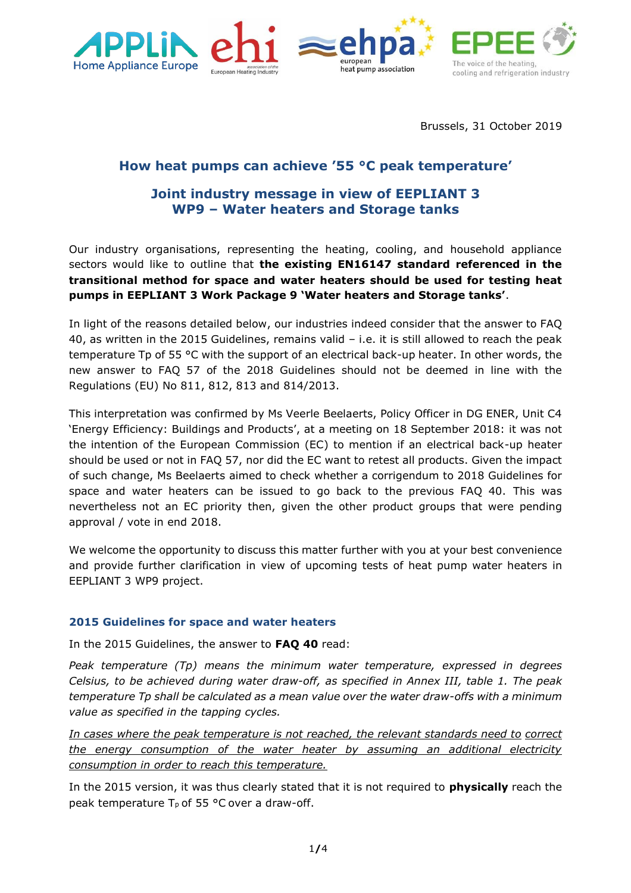



Brussels, 31 October 2019

# **How heat pumps can achieve '55 °C peak temperature'**

## **Joint industry message in view of EEPLIANT 3 WP9 – Water heaters and Storage tanks**

Our industry organisations, representing the heating, cooling, and household appliance sectors would like to outline that **the existing EN16147 standard referenced in the transitional method for space and water heaters should be used for testing heat pumps in EEPLIANT 3 Work Package 9 'Water heaters and Storage tanks'**.

In light of the reasons detailed below, our industries indeed consider that the answer to FAQ 40, as written in the 2015 Guidelines, remains valid – i.e. it is still allowed to reach the peak temperature Tp of 55 °C with the support of an electrical back-up heater. In other words, the new answer to FAQ 57 of the 2018 Guidelines should not be deemed in line with the Regulations (EU) No 811, 812, 813 and 814/2013.

This interpretation was confirmed by Ms Veerle Beelaerts, Policy Officer in DG ENER, Unit C4 'Energy Efficiency: Buildings and Products', at a meeting on 18 September 2018: it was not the intention of the European Commission (EC) to mention if an electrical back-up heater should be used or not in FAQ 57, nor did the EC want to retest all products. Given the impact of such change, Ms Beelaerts aimed to check whether a corrigendum to 2018 Guidelines for space and water heaters can be issued to go back to the previous FAQ 40. This was nevertheless not an EC priority then, given the other product groups that were pending approval / vote in end 2018.

We welcome the opportunity to discuss this matter further with you at your best convenience and provide further clarification in view of upcoming tests of heat pump water heaters in EEPLIANT 3 WP9 project.

### **2015 Guidelines for space and water heaters**

In the 2015 Guidelines, the answer to **FAQ 40** read:

*Peak temperature (Tp) means the minimum water temperature, expressed in degrees Celsius, to be achieved during water draw-off, as specified in Annex III, table 1. The peak temperature Tp shall be calculated as a mean value over the water draw-offs with a minimum value as specified in the tapping cycles.*

*In cases where the peak temperature is not reached, the relevant standards need to correct the energy consumption of the water heater by assuming an additional electricity consumption in order to reach this temperature.*

In the 2015 version, it was thus clearly stated that it is not required to **physically** reach the peak temperature  $T_p$  of 55 °C over a draw-off.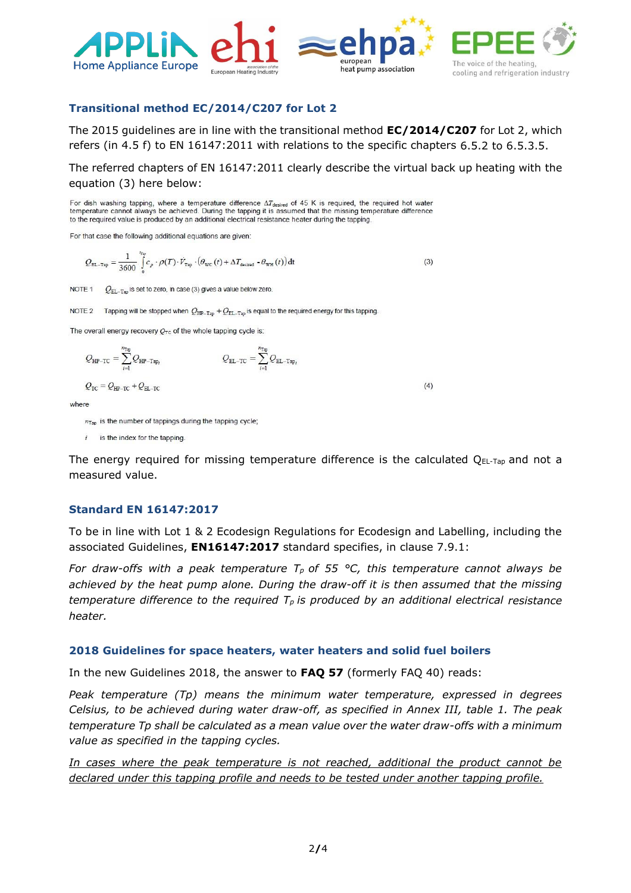

### **Transitional method EC/2014/C207 for Lot 2**

The 2015 guidelines are in line with the transitional method **EC/2014/C207** for Lot 2, which refers (in 4.5 f) to EN 16147:2011 with relations to the specific chapters 6.5.2 to 6.5.3.5.

The referred chapters of EN 16147:2011 clearly describe the virtual back up heating with the equation (3) here below:

For dish washing tapping, where a temperature difference  $\Delta T_{\text{desired}}$  of 45 K is required, the required hot water temperature cannot always be achieved. During the tapping it is assumed that the missing temperature difference to the required value is produced by an additional electrical resistance heater during the tapping.

For that case the following additional equations are given:

$$
Q_{\text{EL-Tap}} = \frac{1}{3600} \int_{0}^{t_{\text{rep}}} c_p \cdot \rho(T) \cdot \dot{V}_{\text{Top}} \cdot \left(\theta_{\text{WC}}(t) + \Delta T_{\text{desired}} \cdot \theta_{\text{WH}}(t)\right) dt
$$
 (3)

NOTE<sub>1</sub>  $Q_{\text{EL-Tan}}$  is set to zero, in case (3) gives a value below zero.

NOTE 2 Tapping will be stopped when  $Q_{HP-Tap} + Q_{EL-Tap}$  is equal to the required energy for this tapping.

The overall energy recovery  $Q_{TC}$  of the whole tapping cycle is:

$$
Q_{\text{HP-TC}} = \sum_{i=1}^{n_{\text{Top}}} Q_{\text{HP-Top}_i} \qquad Q_{\text{EL-TC}} = \sum_{i=1}^{n_{\text{Top}}} Q_{\text{EL-Top}_i}
$$

$$
Q_{TC} = Q_{HP-TC} + Q_{EL-TC}
$$

where

 $n_{\text{Tap}}$  is the number of tappings during the tapping cycle;

is the index for the tapping.  $\boldsymbol{i}$ 

The energy required for missing temperature difference is the calculated  $Q_{EL-Tap}$  and not a measured value.

 $(4)$ 

#### **Standard EN 16147:2017**

To be in line with Lot 1 & 2 Ecodesign Regulations for Ecodesign and Labelling, including the associated Guidelines, **EN16147:2017** standard specifies, in clause 7.9.1:

*For draw-offs with a peak temperature T<sup>p</sup> of 55 °C, this temperature cannot always be achieved by the heat pump alone. During the draw-off it is then assumed that the missing temperature difference to the required T<sup>p</sup> is produced by an additional electrical resistance heater.*

#### **2018 Guidelines for space heaters, water heaters and solid fuel boilers**

In the new Guidelines 2018, the answer to **FAQ 57** (formerly FAQ 40) reads:

*Peak temperature (Tp) means the minimum water temperature, expressed in degrees Celsius, to be achieved during water draw-off, as specified in Annex III, table 1. The peak temperature Tp shall be calculated as a mean value over the water draw-offs with a minimum value as specified in the tapping cycles.*

*In cases where the peak temperature is not reached, additional the product cannot be declared under this tapping profile and needs to be tested under another tapping profile.*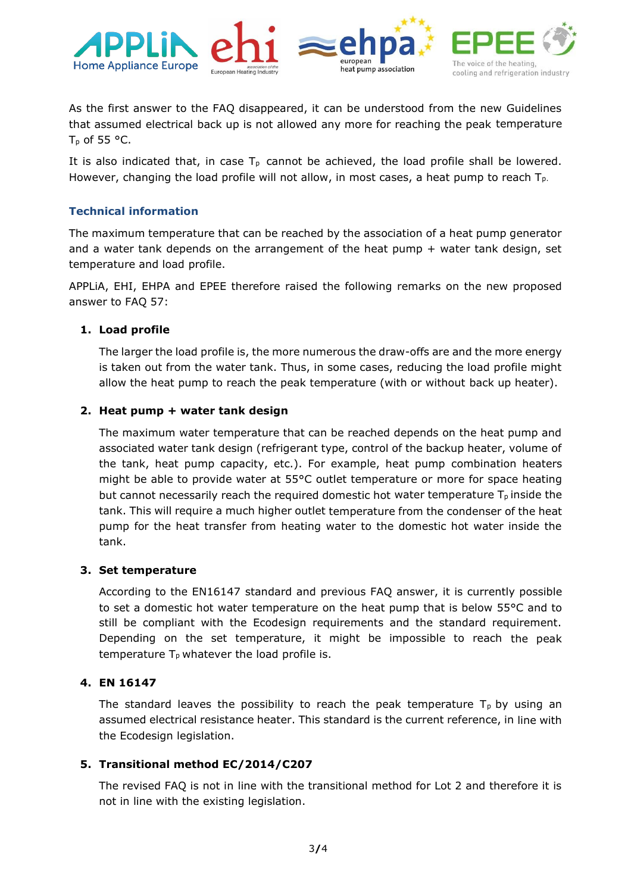

As the first answer to the FAQ disappeared, it can be understood from the new Guidelines that assumed electrical back up is not allowed any more for reaching the peak temperature  $T_p$  of 55 °C.

It is also indicated that, in case  $T_p$  cannot be achieved, the load profile shall be lowered. However, changing the load profile will not allow, in most cases, a heat pump to reach  $T_{p}$ .

#### **Technical information**

The maximum temperature that can be reached by the association of a heat pump generator and a water tank depends on the arrangement of the heat pump  $+$  water tank design, set temperature and load profile.

APPLiA, EHI, EHPA and EPEE therefore raised the following remarks on the new proposed answer to FAQ 57:

#### **1. Load profile**

The larger the load profile is, the more numerous the draw-offs are and the more energy is taken out from the water tank. Thus, in some cases, reducing the load profile might allow the heat pump to reach the peak temperature (with or without back up heater).

#### **2. Heat pump + water tank design**

The maximum water temperature that can be reached depends on the heat pump and associated water tank design (refrigerant type, control of the backup heater, volume of the tank, heat pump capacity, etc.). For example, heat pump combination heaters might be able to provide water at 55°C outlet temperature or more for space heating but cannot necessarily reach the required domestic hot water temperature  $T_p$  inside the tank. This will require a much higher outlet temperature from the condenser of the heat pump for the heat transfer from heating water to the domestic hot water inside the tank.

#### **3. Set temperature**

According to the EN16147 standard and previous FAQ answer, it is currently possible to set a domestic hot water temperature on the heat pump that is below 55°C and to still be compliant with the Ecodesign requirements and the standard requirement. Depending on the set temperature, it might be impossible to reach the peak temperature  $T_p$  whatever the load profile is.

#### **4. EN 16147**

The standard leaves the possibility to reach the peak temperature  $T<sub>p</sub>$  by using an assumed electrical resistance heater. This standard is the current reference, in line with the Ecodesign legislation.

#### **5. Transitional method EC/2014/C207**

The revised FAQ is not in line with the transitional method for Lot 2 and therefore it is not in line with the existing legislation.